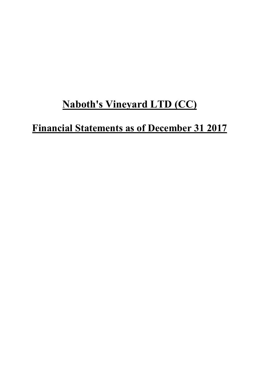# **Naboth's Vineyard LTD (CC)**

# **Financial Statements as of December 31 2017**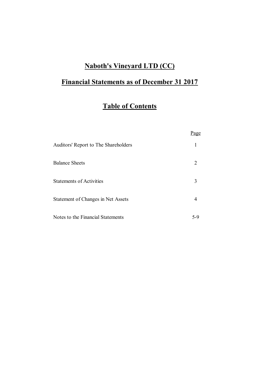# **Naboth's Vineyard LTD (CC)**

# **Financial Statements as of December 31 2017**

# **Table of Contents**

|                                      | Page                        |
|--------------------------------------|-----------------------------|
| Auditors' Report to The Shareholders |                             |
| <b>Balance Sheets</b>                | $\mathcal{D}_{\mathcal{L}}$ |
| <b>Statements of Activities</b>      | 3                           |
| Statement of Changes in Net Assets   |                             |
| Notes to the Financial Statements    | 5-9                         |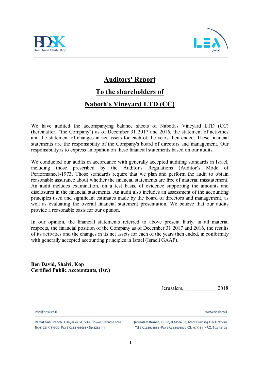



# **Auditors' Report**

# **To the shareholders of**

# **Naboth's Vineyard LTD (CC)**

We have audited the accompanying balance sheets of Naboth's Vineyard LTD (CC) (hereinafter: "the Company") as of December 31 2017 and 2016, the statement of activities and the statement of changes in net assets for each of the years then ended. These financial statements are the responsibility of the Company's board of directors and management. Our responsibility is to express an opinion on these financial statements based on our audits.

We conducted our audits in accordance with generally accepted auditing standards in Israel, including those prescribed by the Auditor's Regulations (Auditor's Mode of Performance)-1973. Those standards require that we plan and perform the audit to obtain reasonable assurance about whether the financial statements are free of material misstatement. An audit includes examination, on a test basis, of evidence supporting the amounts and disclosures in the financial statements. An audit also includes an assessment of the accounting principles used and significant estimates made by the board of directors and management, as well as evaluating the overall financial statement presentation. We believe that our audits provide a reasonable basis for our opinion.

In our opinion, the financial statements referred to above present fairly, in all material respects, the financial position of the Company as of December 31 2017 and 2016, the results of its activities and the changes in its net assets for each of the years then ended, in conformity with generally accepted accounting principles in Israel (Israeli GAAP).

**Ben David, Shalvi, Kop Certified Public Accountants, (Isr.)**

Jerusalem, \_\_\_\_\_\_\_\_\_\_\_\_ 2018

www.hdsk.co.il

info@hdsk.co.il

Ramat Gan Branch, 3 Hayezira St., S.A.P. Tower, Habursa area Tel 972.3.7787000 · Fax 972.3.5755055 · Zip 5252141

Jerusalem Branch, 11 Kiryat Mada St., Amot Building, Har Hotzvim Tel 972.2.5005555 · Fax 972.2.5005500 · Zip 9777611 · P.O. Box 45108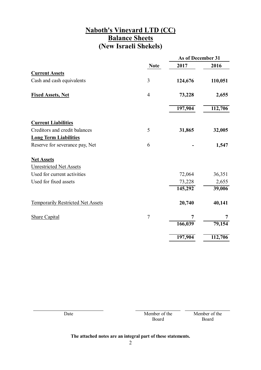## **Naboth's Vineyard LTD (CC) Balance Sheets (New Israeli Shekels)**

|                                          |                |         | As of December 31 |  |
|------------------------------------------|----------------|---------|-------------------|--|
|                                          | <b>Note</b>    | 2017    | 2016              |  |
| <b>Current Assets</b>                    |                |         |                   |  |
| Cash and cash equivalents                | 3              | 124,676 | 110,051           |  |
| <b>Fixed Assets, Net</b>                 | $\overline{4}$ | 73,228  | 2,655             |  |
|                                          |                | 197,904 | 112,706           |  |
| <b>Current Liabilities</b>               |                |         |                   |  |
| Creditors and credit balances            | 5              | 31,865  | 32,005            |  |
| <b>Long Term Liabilities</b>             |                |         |                   |  |
| Reserve for severance pay, Net           | 6              |         | 1,547             |  |
| <b>Net Assets</b>                        |                |         |                   |  |
| <b>Unrestricted Net Assets</b>           |                |         |                   |  |
| Used for current activities              |                | 72,064  | 36,351            |  |
| Used for fixed assets                    |                | 73,228  | 2,655             |  |
|                                          |                | 145,292 | 39,006            |  |
| <b>Temporarily Restricted Net Assets</b> |                | 20,740  | 40,141            |  |
| <b>Share Capital</b>                     | $\overline{7}$ | 7       | 7                 |  |
|                                          |                | 166,039 | 79,154            |  |
|                                          |                | 197,904 | 112,706           |  |

| Date | Member of the<br>Board | Member of the<br>Board |
|------|------------------------|------------------------|
|      |                        |                        |

### **The attached notes are an integral part of these statements.**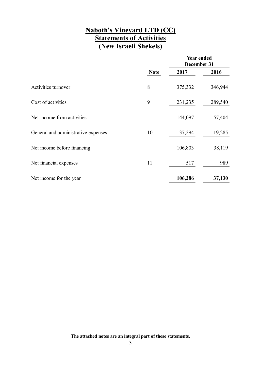### **Naboth's Vineyard LTD (CC) Statements of Activities (New Israeli Shekels)**

|                                     |             | <b>Year ended</b><br>December 31 |         |
|-------------------------------------|-------------|----------------------------------|---------|
|                                     | <b>Note</b> | 2017                             | 2016    |
| Activities turnover                 | 8           | 375,332                          | 346,944 |
| Cost of activities                  | 9           | 231,235                          | 289,540 |
| Net income from activities          |             | 144,097                          | 57,404  |
| General and administrative expenses | 10          | 37,294                           | 19,285  |
| Net income before financing         |             | 106,803                          | 38,119  |
| Net financial expenses              | 11          | 517                              | 989     |
| Net income for the year             |             | 106,286                          | 37,130  |

**The attached notes are an integral part of these statements.**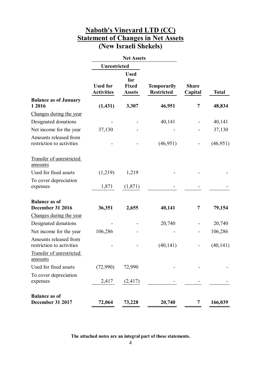### **Naboth's Vineyard LTD (CC) Statement of Changes in Net Assets (New Israeli Shekels)**

|                                                    |                                      | <b>Net Assets</b>                            |                                         |                         |              |
|----------------------------------------------------|--------------------------------------|----------------------------------------------|-----------------------------------------|-------------------------|--------------|
|                                                    | <b>Unrestricted</b>                  |                                              |                                         |                         |              |
|                                                    | <b>Used for</b><br><b>Activities</b> | <b>Used</b><br>for<br>Fixed<br><b>Assets</b> | <b>Temporarily</b><br><b>Restricted</b> | <b>Share</b><br>Capital | <b>Total</b> |
| <b>Balance as of January</b><br>1 2016             | (1, 431)                             | 3,307                                        | 46,951                                  | 7                       | 48,834       |
| Changes during the year                            |                                      |                                              |                                         |                         |              |
| Designated donations                               |                                      |                                              | 40,141                                  |                         | 40,141       |
| Net income for the year                            | 37,130                               |                                              |                                         |                         | 37,130       |
| Amounts released from<br>restriction to activities |                                      |                                              | (46, 951)                               |                         | (46,951)     |
| Transfer of unrestricted<br>amounts                |                                      |                                              |                                         |                         |              |
| Used for fixed assets                              | (1,219)                              | 1,219                                        |                                         |                         |              |
| To cover depreciation<br>expenses                  | 1,871                                | (1,871)                                      |                                         |                         |              |
| <b>Balance as of</b><br><b>December 31 2016</b>    | 36,351                               | 2,655                                        | 40,141                                  | 7                       | 79,154       |
| Changes during the year                            |                                      |                                              |                                         |                         |              |
| Designated donations                               |                                      |                                              | 20,740                                  |                         | 20,740       |
| Net income for the year                            | 106,286                              |                                              |                                         |                         | 106,286      |
| Amounts released from<br>restriction to activities |                                      |                                              | (40, 141)                               |                         | (40, 141)    |
| Transfer of unrestricted<br>amounts                |                                      |                                              |                                         |                         |              |
| Used for fixed assets                              | (72,990)                             | 72,990                                       |                                         |                         |              |
| To cover depreciation<br>expenses                  | 2,417                                | (2,417)                                      |                                         |                         |              |
| <b>Balance as of</b><br><b>December 31 2017</b>    | 72,064                               | 73,228                                       | 20,740                                  | 7                       | 166,039      |

**The attached notes are an integral part of these statements.**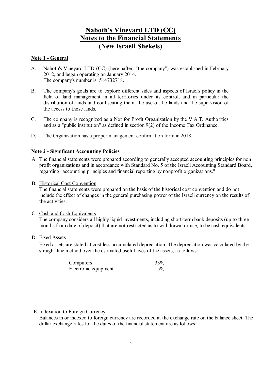### **Note 1 - General**

- A. Naboth's Vineyard LTD (CC) (hereinafter: "the company") was established in February 2012, and began operating on January 2014. The company's number is: 514732718.
- B. The company's goals are to explore different sides and aspects of Israel's policy in the field of land management in all territories under its control, and in particular the distribution of lands and confiscating them, the use of the lands and the supervision of the access to those lands.
- C. The company is recognized as a Not for Profit Organization by the V.A.T. Authorities and as a "public institution" as defined in section 9(2) of the Income Tax Ordinance.
- D. The Organization has a proper management confirmation form in 2018.

### **Note 2 - Significant Accounting Policies**

- A. The financial statements were prepared according to generally accepted accounting principles for non profit organizations and in accordance with Standard No. 5 of the Israeli Accounting Standard Board, regarding "accounting principles and financial reporting by nonprofit organizations."
- B. Historical Cost Convention

The financial statements were prepared on the basis of the historical cost convention and do not include the effect of changes in the general purchasing power of the Israeli currency on the results of the activities.

C. Cash and Cash Equivalents

The company considers all highly liquid investments, including short-term bank deposits (up to three months from date of deposit) that are not restricted as to withdrawal or use, to be cash equivalents.

D. Fixed Assets

Fixed assets are stated at cost less accumulated depreciation. The depreciation was calculated by the straight-line method over the estimated useful lives of the assets, as follows:

| Computers            | 33% |
|----------------------|-----|
| Electronic equipment | 15% |

### E. Indexation to Foreign Currency

Balances in or indexed to foreign currency are recorded at the exchange rate on the balance sheet. The dollar exchange rates for the dates of the financial statement are as follows: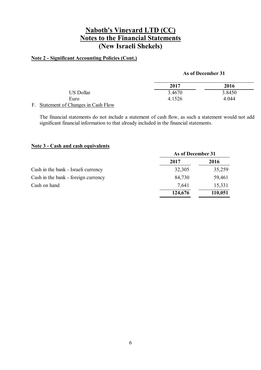### **Note 2 - Significant Accounting Policies (Cont.)**

#### **As of December 31**

| 2017   | 2016   |
|--------|--------|
| 3.4670 | 3.8450 |
| 4.1526 | 4.044  |
|        |        |

F. Statement of Changes in Cash Flow

The financial statements do not include a statement of cash flow, as such a statement would not add significant financial information to that already included in the financial statements.

#### **Note 3 - Cash and cash equivalents**

|                                     | As of December 31 |         |
|-------------------------------------|-------------------|---------|
|                                     | 2017              | 2016    |
| Cash in the bank - Israeli currency | 32,305            | 35,259  |
| Cash in the bank - foreign currency | 84,730            | 59,461  |
| Cash on hand                        | 7.641             | 15,331  |
|                                     | 124,676           | 110,051 |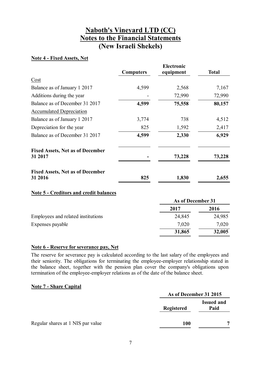### **Note 4 - Fixed Assets, Net**

|                                                    |                  | <b>Electronic</b> |              |
|----------------------------------------------------|------------------|-------------------|--------------|
|                                                    | <b>Computers</b> | equipment         | <b>Total</b> |
| Cost                                               |                  |                   |              |
| Balance as of January 1 2017                       | 4,599            | 2,568             | 7,167        |
| Additions during the year                          |                  | 72,990            | 72,990       |
| Balance as of December 31 2017                     | 4,599            | 75,558            | 80,157       |
| <b>Accumulated Depreciation</b>                    |                  |                   |              |
| Balance as of January 1 2017                       | 3,774            | 738               | 4,512        |
| Depreciation for the year                          | 825              | 1,592             | 2,417        |
| Balance as of December 31 2017                     | 4,599            | 2,330             | 6,929        |
| <b>Fixed Assets, Net as of December</b><br>31 2017 |                  | 73,228            | 73,228       |
| <b>Fixed Assets, Net as of December</b><br>31 2016 | 825              | 1,830             | 2,655        |

#### **Note 5 - Creditors and credit balances**

|                                    | As of December 31 |        |
|------------------------------------|-------------------|--------|
|                                    | 2017              | 2016   |
| Employees and related institutions | 24,845            | 24,985 |
| Expenses payable                   | 7,020             | 7,020  |
|                                    | 31,865            | 32,005 |

### **Note 6 - Reserve for severance pay, Net**

The reserve for severance pay is calculated according to the last salary of the employees and their seniority. The obligations for terminating the employee-employer relationship stated in the balance sheet, together with the pension plan cover the company's obligations upon termination of the employee-employer relations as of the date of the balance sheet.

#### **Note 7 - Share Capital**

|                                   | As of December 31 2015 |                           |
|-----------------------------------|------------------------|---------------------------|
|                                   | <b>Registered</b>      | <b>Issued and</b><br>Paid |
| Regular shares at 1 NIS par value | <b>100</b>             | ៗ                         |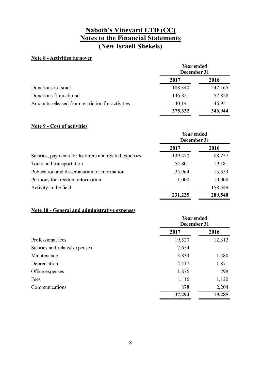### **Note 8 - Activities turnover**

|                                                  | <b>Year ended</b><br>December 31 |         |
|--------------------------------------------------|----------------------------------|---------|
|                                                  | 2017                             | 2016    |
| Donations in Israel                              | 188,340                          | 242,165 |
| Donations from abroad                            | 146,851                          | 57,828  |
| Amounts released from restriction for activities | 40,141                           | 46,951  |
|                                                  | 375,332                          | 346,944 |

### **Note 9 - Cost of activities**

|                                                       | <b>Year ended</b><br>December 31 |         |
|-------------------------------------------------------|----------------------------------|---------|
|                                                       | 2017                             | 2016    |
| Salaries, payments for lecturers and related expenses | 139,470                          | 88,257  |
| Tours and transportation                              | 54,801                           | 19,181  |
| Publication and dissemination of information          | 35,964                           | 13,553  |
| Petitions for freedom information                     | 1,000                            | 10,000  |
| Activity in the field                                 |                                  | 158,549 |
|                                                       | 231,235                          | 289,540 |

### **Note 10 - General and administrative expenses**

|                               | <b>Year ended</b><br>December 31 |        |
|-------------------------------|----------------------------------|--------|
|                               | 2017                             | 2016   |
| Professional fees             | 19,520                           | 12,312 |
| Salaries and related expenses | 7,654                            |        |
| Maintenance                   | 3,833                            | 1,480  |
| Depreciation                  | 2,417                            | 1,871  |
| Office expenses               | 1,876                            | 298    |
| Fees                          | 1,116                            | 1,120  |
| Communications                | 878                              | 2,204  |
|                               | 37,294                           | 19,285 |